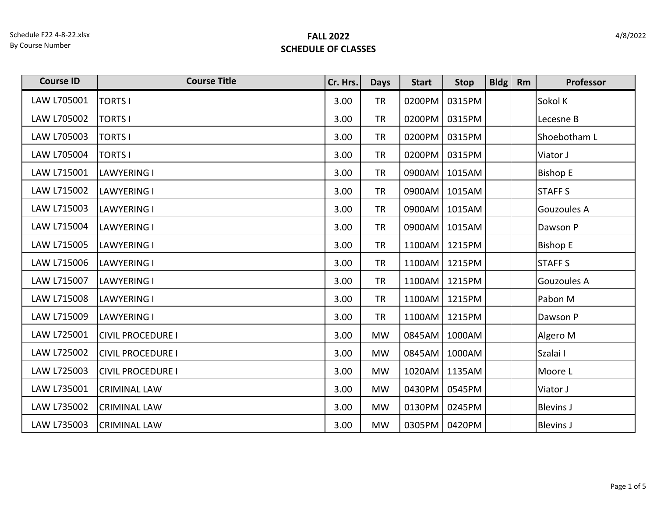Schedule F22 4-8-22.xlsx By Course Number

| <b>Course ID</b> | <b>Course Title</b>      | Cr. Hrs. | <b>Days</b> | <b>Start</b> | <b>Stop</b> | $B$ ldg | Rm | Professor        |
|------------------|--------------------------|----------|-------------|--------------|-------------|---------|----|------------------|
| LAW L705001      | <b>TORTS I</b>           | 3.00     | <b>TR</b>   | 0200PM       | 0315PM      |         |    | Sokol K          |
| LAW L705002      | <b>TORTS I</b>           | 3.00     | <b>TR</b>   | 0200PM       | 0315PM      |         |    | Lecesne B        |
| LAW L705003      | <b>TORTS I</b>           | 3.00     | <b>TR</b>   | 0200PM       | 0315PM      |         |    | Shoebotham L     |
| LAW L705004      | <b>TORTS I</b>           | 3.00     | <b>TR</b>   | 0200PM       | 0315PM      |         |    | Viator J         |
| LAW L715001      | <b>LAWYERING I</b>       | 3.00     | <b>TR</b>   | 0900AM       | 1015AM      |         |    | <b>Bishop E</b>  |
| LAW L715002      | <b>LAWYERING I</b>       | 3.00     | <b>TR</b>   | 0900AM       | 1015AM      |         |    | <b>STAFF S</b>   |
| LAW L715003      | <b>LAWYERING I</b>       | 3.00     | <b>TR</b>   | 0900AM       | 1015AM      |         |    | Gouzoules A      |
| LAW L715004      | <b>LAWYERING I</b>       | 3.00     | <b>TR</b>   | 0900AM       | 1015AM      |         |    | Dawson P         |
| LAW L715005      | <b>LAWYERING I</b>       | 3.00     | <b>TR</b>   | 1100AM       | 1215PM      |         |    | <b>Bishop E</b>  |
| LAW L715006      | <b>LAWYERING I</b>       | 3.00     | <b>TR</b>   | 1100AM       | 1215PM      |         |    | <b>STAFF S</b>   |
| LAW L715007      | <b>LAWYERING I</b>       | 3.00     | <b>TR</b>   | 1100AM       | 1215PM      |         |    | Gouzoules A      |
| LAW L715008      | <b>LAWYERING I</b>       | 3.00     | <b>TR</b>   | 1100AM       | 1215PM      |         |    | Pabon M          |
| LAW L715009      | <b>LAWYERING I</b>       | 3.00     | <b>TR</b>   | 1100AM       | 1215PM      |         |    | Dawson P         |
| LAW L725001      | <b>CIVIL PROCEDURE I</b> | 3.00     | <b>MW</b>   | 0845AM       | 1000AM      |         |    | Algero M         |
| LAW L725002      | <b>CIVIL PROCEDURE I</b> | 3.00     | <b>MW</b>   | 0845AM       | 1000AM      |         |    | Szalai I         |
| LAW L725003      | <b>CIVIL PROCEDURE I</b> | 3.00     | <b>MW</b>   | 1020AM       | 1135AM      |         |    | Moore L          |
| LAW L735001      | <b>CRIMINAL LAW</b>      | 3.00     | <b>MW</b>   | 0430PM       | 0545PM      |         |    | Viator J         |
| LAW L735002      | <b>CRIMINAL LAW</b>      | 3.00     | <b>MW</b>   | 0130PM       | 0245PM      |         |    | <b>Blevins J</b> |
| LAW L735003      | <b>CRIMINAL LAW</b>      | 3.00     | <b>MW</b>   | 0305PM       | 0420PM      |         |    | <b>Blevins J</b> |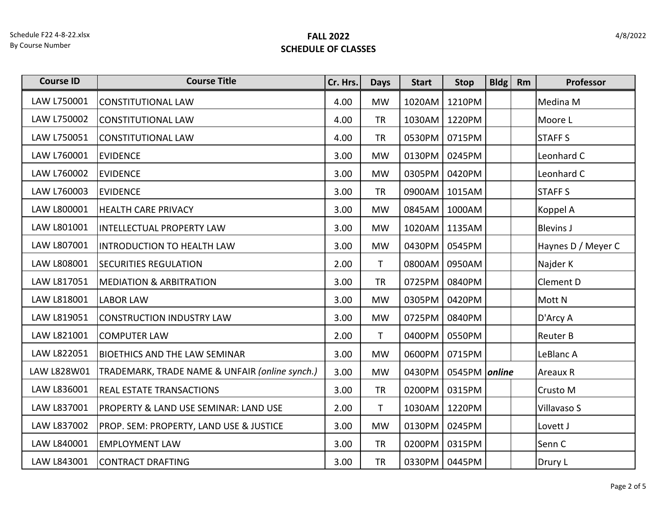| <b>Course ID</b> | <b>Course Title</b>                            | Cr. Hrs. | <b>Days</b>  | <b>Start</b> | <b>Stop</b>   | <b>Bldg</b> | Rm | Professor          |
|------------------|------------------------------------------------|----------|--------------|--------------|---------------|-------------|----|--------------------|
| LAW L750001      | <b>CONSTITUTIONAL LAW</b>                      | 4.00     | <b>MW</b>    | 1020AM       | 1210PM        |             |    | Medina M           |
| LAW L750002      | <b>CONSTITUTIONAL LAW</b>                      | 4.00     | <b>TR</b>    | 1030AM       | 1220PM        |             |    | Moore L            |
| LAW L750051      | <b>CONSTITUTIONAL LAW</b>                      | 4.00     | <b>TR</b>    | 0530PM       | 0715PM        |             |    | <b>STAFFS</b>      |
| LAW L760001      | <b>EVIDENCE</b>                                | 3.00     | <b>MW</b>    | 0130PM       | 0245PM        |             |    | Leonhard C         |
| LAW L760002      | <b>EVIDENCE</b>                                | 3.00     | <b>MW</b>    | 0305PM       | 0420PM        |             |    | Leonhard C         |
| LAW L760003      | <b>EVIDENCE</b>                                | 3.00     | <b>TR</b>    | 0900AM       | 1015AM        |             |    | <b>STAFF S</b>     |
| LAW L800001      | <b>HEALTH CARE PRIVACY</b>                     | 3.00     | <b>MW</b>    | 0845AM       | 1000AM        |             |    | Koppel A           |
| LAW L801001      | INTELLECTUAL PROPERTY LAW                      | 3.00     | <b>MW</b>    | 1020AM       | 1135AM        |             |    | <b>Blevins J</b>   |
| LAW L807001      | <b>INTRODUCTION TO HEALTH LAW</b>              | 3.00     | <b>MW</b>    | 0430PM       | 0545PM        |             |    | Haynes D / Meyer C |
| LAW L808001      | <b>SECURITIES REGULATION</b>                   | 2.00     | $\mathsf{T}$ | 0800AM       | 0950AM        |             |    | Najder K           |
| LAW L817051      | <b>MEDIATION &amp; ARBITRATION</b>             | 3.00     | <b>TR</b>    | 0725PM       | 0840PM        |             |    | Clement D          |
| LAW L818001      | <b>LABOR LAW</b>                               | 3.00     | <b>MW</b>    | 0305PM       | 0420PM        |             |    | Mott <sub>N</sub>  |
| LAW L819051      | CONSTRUCTION INDUSTRY LAW                      | 3.00     | <b>MW</b>    | 0725PM       | 0840PM        |             |    | D'Arcy A           |
| LAW L821001      | <b>COMPUTER LAW</b>                            | 2.00     | $\mathsf{T}$ | 0400PM       | 0550PM        |             |    | <b>Reuter B</b>    |
| LAW L822051      | <b>BIOETHICS AND THE LAW SEMINAR</b>           | 3.00     | <b>MW</b>    | 0600PM       | 0715PM        |             |    | LeBlanc A          |
| LAW L828W01      | TRADEMARK, TRADE NAME & UNFAIR (online synch.) | 3.00     | <b>MW</b>    | 0430PM       | 0545PM online |             |    | Areaux R           |
| LAW L836001      | <b>REAL ESTATE TRANSACTIONS</b>                | 3.00     | <b>TR</b>    | 0200PM       | 0315PM        |             |    | <b>Crusto M</b>    |
| LAW L837001      | PROPERTY & LAND USE SEMINAR: LAND USE          | 2.00     | T.           | 1030AM       | 1220PM        |             |    | Villavaso S        |
| LAW L837002      | PROP. SEM: PROPERTY, LAND USE & JUSTICE        | 3.00     | <b>MW</b>    | 0130PM       | 0245PM        |             |    | Lovett J           |
| LAW L840001      | <b>EMPLOYMENT LAW</b>                          | 3.00     | <b>TR</b>    | 0200PM       | 0315PM        |             |    | Senn C             |
| LAW L843001      | CONTRACT DRAFTING                              | 3.00     | <b>TR</b>    | 0330PM       | 0445PM        |             |    | Drury L            |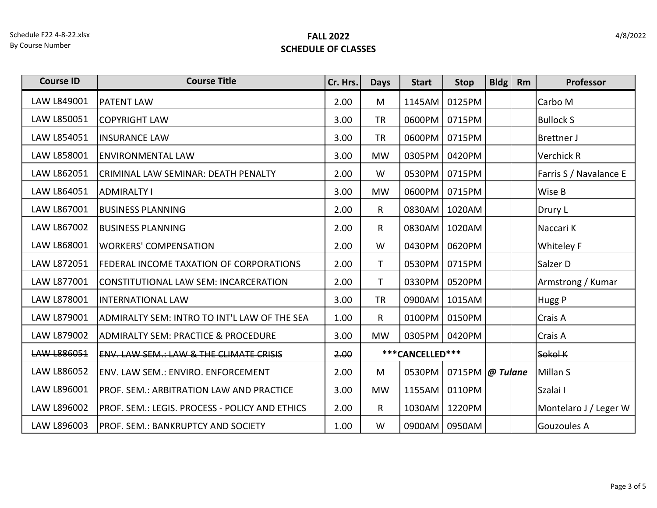| <b>Course ID</b>   | <b>Course Title</b>                                   | Cr. Hrs. | <b>Days</b>  | <b>Start</b>    | <b>Stop</b>            | <b>Bldg</b> | Rm | Professor              |
|--------------------|-------------------------------------------------------|----------|--------------|-----------------|------------------------|-------------|----|------------------------|
| LAW L849001        | <b>PATENT LAW</b>                                     | 2.00     | M            | 1145AM          | 0125PM                 |             |    | Carbo M                |
| LAW L850051        | <b>COPYRIGHT LAW</b>                                  | 3.00     | <b>TR</b>    | 0600PM          | 0715PM                 |             |    | <b>Bullock S</b>       |
| LAW L854051        | <b>INSURANCE LAW</b>                                  | 3.00     | <b>TR</b>    | 0600PM          | 0715PM                 |             |    | <b>Brettner J</b>      |
| LAW L858001        | <b>ENVIRONMENTAL LAW</b>                              | 3.00     | <b>MW</b>    | 0305PM          | 0420PM                 |             |    | Verchick R             |
| LAW L862051        | CRIMINAL LAW SEMINAR: DEATH PENALTY                   | 2.00     | W            | 0530PM          | 0715PM                 |             |    | Farris S / Navalance E |
| LAW L864051        | <b>ADMIRALTY I</b>                                    | 3.00     | <b>MW</b>    | 0600PM          | 0715PM                 |             |    | Wise B                 |
| LAW L867001        | <b>BUSINESS PLANNING</b>                              | 2.00     | $\mathsf{R}$ | 0830AM          | 1020AM                 |             |    | Drury L                |
| LAW L867002        | <b>BUSINESS PLANNING</b>                              | 2.00     | R            | 0830AM          | 1020AM                 |             |    | Naccari K              |
| LAW L868001        | <b>WORKERS' COMPENSATION</b>                          | 2.00     | W            | 0430PM          | 0620PM                 |             |    | <b>Whiteley F</b>      |
| LAW L872051        | <b>FEDERAL INCOME TAXATION OF CORPORATIONS</b>        | 2.00     | T.           | 0530PM          | 0715PM                 |             |    | Salzer D               |
| LAW L877001        | CONSTITUTIONAL LAW SEM: INCARCERATION                 | 2.00     | T.           | 0330PM          | 0520PM                 |             |    | Armstrong / Kumar      |
| LAW L878001        | <b>INTERNATIONAL LAW</b>                              | 3.00     | <b>TR</b>    | 0900AM          | 1015AM                 |             |    | Hugg P                 |
| LAW L879001        | ADMIRALTY SEM: INTRO TO INT'L LAW OF THE SEA          | 1.00     | $\mathsf{R}$ | 0100PM          | 0150PM                 |             |    | Crais A                |
| LAW L879002        | <b>ADMIRALTY SEM: PRACTICE &amp; PROCEDURE</b>        | 3.00     | <b>MW</b>    | 0305PM          | 0420PM                 |             |    | Crais A                |
| <b>LAW L886051</b> | ENV. LAW SEM.: LAW & THE CLIMATE CRISIS               | 2.00     |              | ***CANCELLED*** |                        |             |    | Sokol K                |
| LAW L886052        | <b>ENV. LAW SEM.: ENVIRO. ENFORCEMENT</b>             | 2.00     | M            | 0530PM          | 0715PM $\omega$ Tulane |             |    | Millan S               |
| LAW L896001        | <b>PROF. SEM.: ARBITRATION LAW AND PRACTICE</b>       | 3.00     | <b>MW</b>    | 1155AM          | 0110PM                 |             |    | Szalai I               |
| LAW L896002        | <b>PROF. SEM.: LEGIS. PROCESS - POLICY AND ETHICS</b> | 2.00     | $\mathsf{R}$ | 1030AM          | 1220PM                 |             |    | Montelaro J / Leger W  |
| LAW L896003        | PROF. SEM.: BANKRUPTCY AND SOCIETY                    | 1.00     | W            |                 | 0900AM   0950AM        |             |    | Gouzoules A            |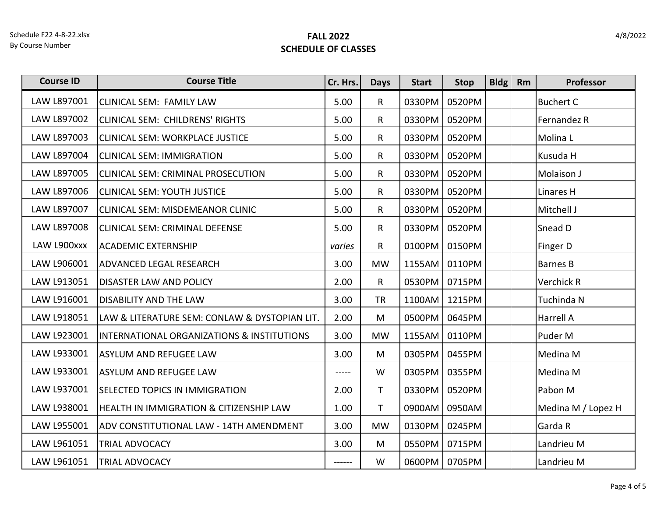| <b>Course ID</b> | <b>Course Title</b>                                   | Cr. Hrs. | <b>Days</b>  | <b>Start</b> | <b>Stop</b> | <b>Bldg</b> | Rm | Professor          |
|------------------|-------------------------------------------------------|----------|--------------|--------------|-------------|-------------|----|--------------------|
| LAW L897001      | <b>CLINICAL SEM: FAMILY LAW</b>                       | 5.00     | R            | 0330PM       | 0520PM      |             |    | <b>Buchert C</b>   |
| LAW L897002      | CLINICAL SEM: CHILDRENS' RIGHTS                       | 5.00     | $\mathsf{R}$ | 0330PM       | 0520PM      |             |    | Fernandez R        |
| LAW L897003      | CLINICAL SEM: WORKPLACE JUSTICE                       | 5.00     | $\mathsf{R}$ | 0330PM       | 0520PM      |             |    | Molina L           |
| LAW L897004      | <b>CLINICAL SEM: IMMIGRATION</b>                      | 5.00     | R.           | 0330PM       | 0520PM      |             |    | Kusuda H           |
| LAW L897005      | CLINICAL SEM: CRIMINAL PROSECUTION                    | 5.00     | $\mathsf{R}$ | 0330PM       | 0520PM      |             |    | Molaison J         |
| LAW L897006      | <b>CLINICAL SEM: YOUTH JUSTICE</b>                    | 5.00     | $\mathsf{R}$ | 0330PM       | 0520PM      |             |    | Linares H          |
| LAW L897007      | CLINICAL SEM: MISDEMEANOR CLINIC                      | 5.00     | $\mathsf{R}$ | 0330PM       | 0520PM      |             |    | Mitchell J         |
| LAW L897008      | CLINICAL SEM: CRIMINAL DEFENSE                        | 5.00     | $\mathsf{R}$ | 0330PM       | 0520PM      |             |    | Snead D            |
| LAW L900xxx      | <b>ACADEMIC EXTERNSHIP</b>                            | varies   | $\mathsf{R}$ | 0100PM       | 0150PM      |             |    | Finger D           |
| LAW L906001      | <b>ADVANCED LEGAL RESEARCH</b>                        | 3.00     | <b>MW</b>    | 1155AM       | 0110PM      |             |    | <b>Barnes B</b>    |
| LAW L913051      | <b>DISASTER LAW AND POLICY</b>                        | 2.00     | $\mathsf{R}$ | 0530PM       | 0715PM      |             |    | Verchick R         |
| LAW L916001      | <b>DISABILITY AND THE LAW</b>                         | 3.00     | <b>TR</b>    | 1100AM       | 1215PM      |             |    | Tuchinda N         |
| LAW L918051      | LAW & LITERATURE SEM: CONLAW & DYSTOPIAN LIT.         | 2.00     | M            | 0500PM       | 0645PM      |             |    | <b>Harrell A</b>   |
| LAW L923001      | <b>INTERNATIONAL ORGANIZATIONS &amp; INSTITUTIONS</b> | 3.00     | <b>MW</b>    | 1155AM       | 0110PM      |             |    | Puder M            |
| LAW L933001      | <b>ASYLUM AND REFUGEE LAW</b>                         | 3.00     | M            | 0305PM       | 0455PM      |             |    | Medina M           |
| LAW L933001      | <b>ASYLUM AND REFUGEE LAW</b>                         | $--- -$  | W            | 0305PM       | 0355PM      |             |    | Medina M           |
| LAW L937001      | <b>SELECTED TOPICS IN IMMIGRATION</b>                 | 2.00     | $\mathsf{T}$ | 0330PM       | 0520PM      |             |    | Pabon M            |
| LAW L938001      | <b>HEALTH IN IMMIGRATION &amp; CITIZENSHIP LAW</b>    | 1.00     | $\mathsf{T}$ | 0900AM       | 0950AM      |             |    | Medina M / Lopez H |
| LAW L955001      | ADV CONSTITUTIONAL LAW - 14TH AMENDMENT               | 3.00     | <b>MW</b>    | 0130PM       | 0245PM      |             |    | Garda R            |
| LAW L961051      | <b>TRIAL ADVOCACY</b>                                 | 3.00     | M            | 0550PM       | 0715PM      |             |    | Landrieu M         |
| LAW L961051      | <b>TRIAL ADVOCACY</b>                                 | ------   | W            | 0600PM       | 0705PM      |             |    | Landrieu M         |